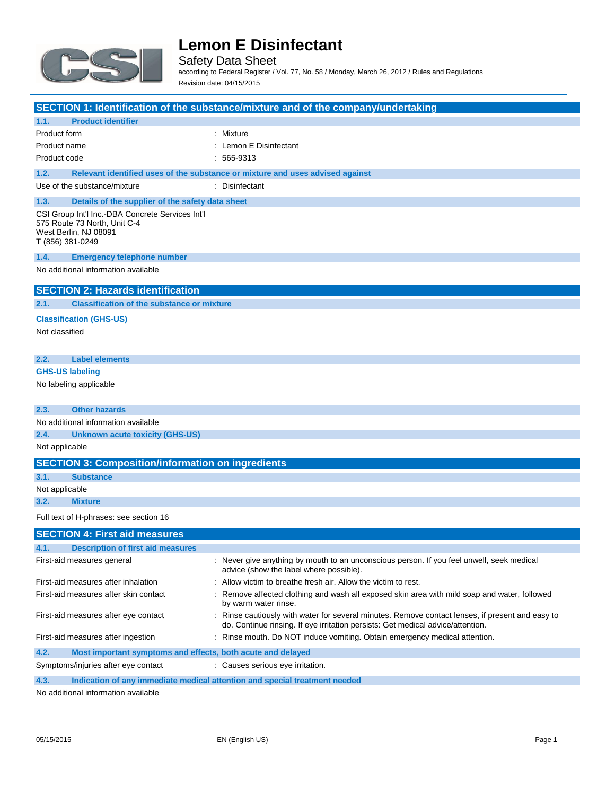

Safety Data Sheet according to Federal Register / Vol. 77, No. 58 / Monday, March 26, 2012 / Rules and Regulations Revision date: 04/15/2015

|                                                                                                                               | SECTION 1: Identification of the substance/mixture and of the company/undertaking                                                                                                 |
|-------------------------------------------------------------------------------------------------------------------------------|-----------------------------------------------------------------------------------------------------------------------------------------------------------------------------------|
| 1.1.<br><b>Product identifier</b>                                                                                             |                                                                                                                                                                                   |
| Product form                                                                                                                  | : Mixture                                                                                                                                                                         |
| Product name                                                                                                                  | : Lemon E Disinfectant                                                                                                                                                            |
| Product code                                                                                                                  | 565-9313                                                                                                                                                                          |
| 1.2.                                                                                                                          | Relevant identified uses of the substance or mixture and uses advised against                                                                                                     |
| Use of the substance/mixture                                                                                                  | : Disinfectant                                                                                                                                                                    |
| 1.3.<br>Details of the supplier of the safety data sheet                                                                      |                                                                                                                                                                                   |
| CSI Group Int'l Inc.-DBA Concrete Services Int'l<br>575 Route 73 North, Unit C-4<br>West Berlin, NJ 08091<br>T (856) 381-0249 |                                                                                                                                                                                   |
| 1.4.<br><b>Emergency telephone number</b>                                                                                     |                                                                                                                                                                                   |
| No additional information available                                                                                           |                                                                                                                                                                                   |
| <b>SECTION 2: Hazards identification</b>                                                                                      |                                                                                                                                                                                   |
| 2.1.<br><b>Classification of the substance or mixture</b>                                                                     |                                                                                                                                                                                   |
| <b>Classification (GHS-US)</b><br>Not classified                                                                              |                                                                                                                                                                                   |
| <b>Label elements</b><br>2.2.                                                                                                 |                                                                                                                                                                                   |
| <b>GHS-US labeling</b>                                                                                                        |                                                                                                                                                                                   |
| No labeling applicable                                                                                                        |                                                                                                                                                                                   |
| 2.3.<br><b>Other hazards</b>                                                                                                  |                                                                                                                                                                                   |
| No additional information available                                                                                           |                                                                                                                                                                                   |
| 2.4.<br><b>Unknown acute toxicity (GHS-US)</b>                                                                                |                                                                                                                                                                                   |
| Not applicable                                                                                                                |                                                                                                                                                                                   |
| <b>SECTION 3: Composition/information on ingredients</b>                                                                      |                                                                                                                                                                                   |
| 3.1.<br><b>Substance</b>                                                                                                      |                                                                                                                                                                                   |
| Not applicable                                                                                                                |                                                                                                                                                                                   |
| 3.2.<br><b>Mixture</b>                                                                                                        |                                                                                                                                                                                   |
| Full text of H-phrases: see section 16                                                                                        |                                                                                                                                                                                   |
| <b>SECTION 4: First aid measures</b>                                                                                          |                                                                                                                                                                                   |
| 4.1.<br><b>Description of first aid measures</b>                                                                              |                                                                                                                                                                                   |
| First-aid measures general                                                                                                    | : Never give anything by mouth to an unconscious person. If you feel unwell, seek medical<br>advice (show the label where possible).                                              |
| First-aid measures after inhalation                                                                                           | Allow victim to breathe fresh air. Allow the victim to rest.                                                                                                                      |
| First-aid measures after skin contact                                                                                         | Remove affected clothing and wash all exposed skin area with mild soap and water, followed<br>by warm water rinse.                                                                |
| First-aid measures after eye contact                                                                                          | Rinse cautiously with water for several minutes. Remove contact lenses, if present and easy to<br>do. Continue rinsing. If eye irritation persists: Get medical advice/attention. |
| First-aid measures after ingestion                                                                                            | : Rinse mouth. Do NOT induce vomiting. Obtain emergency medical attention.                                                                                                        |
| 4.2.<br>Most important symptoms and effects, both acute and delayed                                                           |                                                                                                                                                                                   |
| Symptoms/injuries after eye contact                                                                                           | : Causes serious eye irritation.                                                                                                                                                  |

**4.3. Indication of any immediate medical attention and special treatment needed**

No additional information available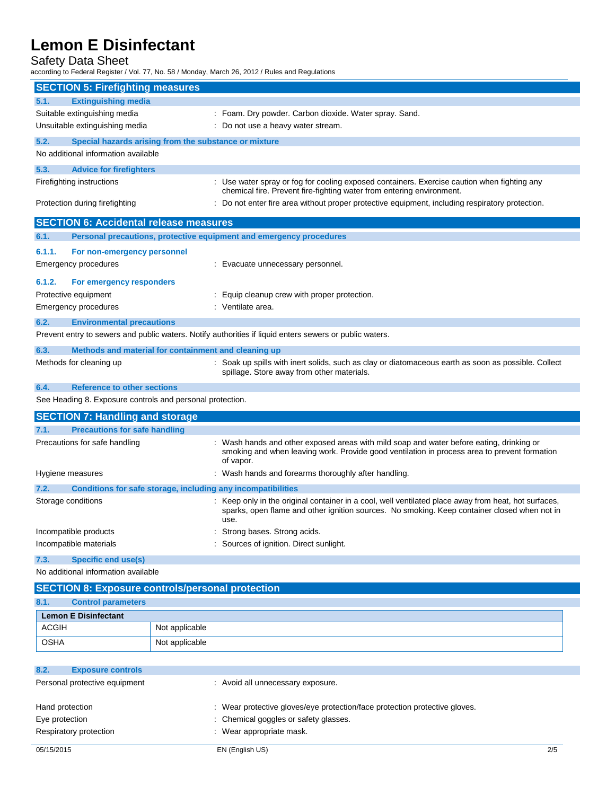Safety Data Sheet

according to Federal Register / Vol. 77, No. 58 / Monday, March 26, 2012 / Rules and Regulations

|                                                           | <b>SECTION 5: Firefighting measures</b>                             |                                                                                                                                                                                                              |
|-----------------------------------------------------------|---------------------------------------------------------------------|--------------------------------------------------------------------------------------------------------------------------------------------------------------------------------------------------------------|
| 5.1.                                                      | <b>Extinguishing media</b>                                          |                                                                                                                                                                                                              |
|                                                           | Suitable extinguishing media                                        | : Foam. Dry powder. Carbon dioxide. Water spray. Sand.                                                                                                                                                       |
|                                                           | Unsuitable extinguishing media                                      | : Do not use a heavy water stream.                                                                                                                                                                           |
| 5.2.                                                      | Special hazards arising from the substance or mixture               |                                                                                                                                                                                                              |
|                                                           | No additional information available                                 |                                                                                                                                                                                                              |
| 5.3.                                                      | <b>Advice for firefighters</b>                                      |                                                                                                                                                                                                              |
|                                                           | Firefighting instructions                                           | : Use water spray or fog for cooling exposed containers. Exercise caution when fighting any<br>chemical fire. Prevent fire-fighting water from entering environment.                                         |
|                                                           | Protection during firefighting                                      | Do not enter fire area without proper protective equipment, including respiratory protection.                                                                                                                |
|                                                           | <b>SECTION 6: Accidental release measures</b>                       |                                                                                                                                                                                                              |
| 6.1.                                                      | Personal precautions, protective equipment and emergency procedures |                                                                                                                                                                                                              |
| 6.1.1.                                                    | For non-emergency personnel                                         |                                                                                                                                                                                                              |
|                                                           | Emergency procedures                                                | : Evacuate unnecessary personnel.                                                                                                                                                                            |
| 6.1.2.                                                    | For emergency responders                                            |                                                                                                                                                                                                              |
|                                                           | Protective equipment                                                | : Equip cleanup crew with proper protection.                                                                                                                                                                 |
|                                                           | Emergency procedures                                                | : Ventilate area.                                                                                                                                                                                            |
| 6.2.                                                      | <b>Environmental precautions</b>                                    |                                                                                                                                                                                                              |
|                                                           |                                                                     | Prevent entry to sewers and public waters. Notify authorities if liquid enters sewers or public waters.                                                                                                      |
| 6.3.                                                      | Methods and material for containment and cleaning up                |                                                                                                                                                                                                              |
|                                                           | Methods for cleaning up                                             | : Soak up spills with inert solids, such as clay or diatomaceous earth as soon as possible. Collect<br>spillage. Store away from other materials.                                                            |
| 6.4.                                                      | <b>Reference to other sections</b>                                  |                                                                                                                                                                                                              |
| See Heading 8. Exposure controls and personal protection. |                                                                     |                                                                                                                                                                                                              |
|                                                           | <b>SECTION 7: Handling and storage</b>                              |                                                                                                                                                                                                              |
| 7.1.                                                      | <b>Precautions for safe handling</b>                                |                                                                                                                                                                                                              |
|                                                           | Precautions for safe handling                                       | : Wash hands and other exposed areas with mild soap and water before eating, drinking or<br>smoking and when leaving work. Provide good ventilation in process area to prevent formation<br>of vapor.        |
|                                                           | Hygiene measures                                                    | : Wash hands and forearms thoroughly after handling.                                                                                                                                                         |
| 7.2.                                                      | Conditions for safe storage, including any incompatibilities        |                                                                                                                                                                                                              |
|                                                           | Storage conditions                                                  | : Keep only in the original container in a cool, well ventilated place away from heat, hot surfaces,<br>sparks, open flame and other ignition sources. No smoking. Keep container closed when not in<br>use. |
|                                                           | Incompatible products                                               | Strong bases. Strong acids.                                                                                                                                                                                  |
|                                                           | Incompatible materials                                              | Sources of ignition. Direct sunlight.                                                                                                                                                                        |
| 7.3.                                                      | <b>Specific end use(s)</b>                                          |                                                                                                                                                                                                              |
| $\cdots$                                                  | $\cdots$                                                            |                                                                                                                                                                                                              |

No additional information available

| <b>SECTION 8: Exposure controls/personal protection</b> |                             |                |
|---------------------------------------------------------|-----------------------------|----------------|
| 8.1.                                                    | <b>Control parameters</b>   |                |
|                                                         | <b>Lemon E Disinfectant</b> |                |
| ACGIH                                                   |                             | Not applicable |
| <b>OSHA</b>                                             |                             | Not applicable |

| 8.2.<br><b>Exposure controls</b> |                                                                            |     |
|----------------------------------|----------------------------------------------------------------------------|-----|
| Personal protective equipment    | : Avoid all unnecessary exposure.                                          |     |
|                                  |                                                                            |     |
| Hand protection                  | : Wear protective gloves/eye protection/face protection protective gloves. |     |
| Eye protection                   | : Chemical goggles or safety glasses.                                      |     |
| Respiratory protection           | : Wear appropriate mask.                                                   |     |
|                                  |                                                                            |     |
| 05/15/2015                       | EN (English US)                                                            | 2/5 |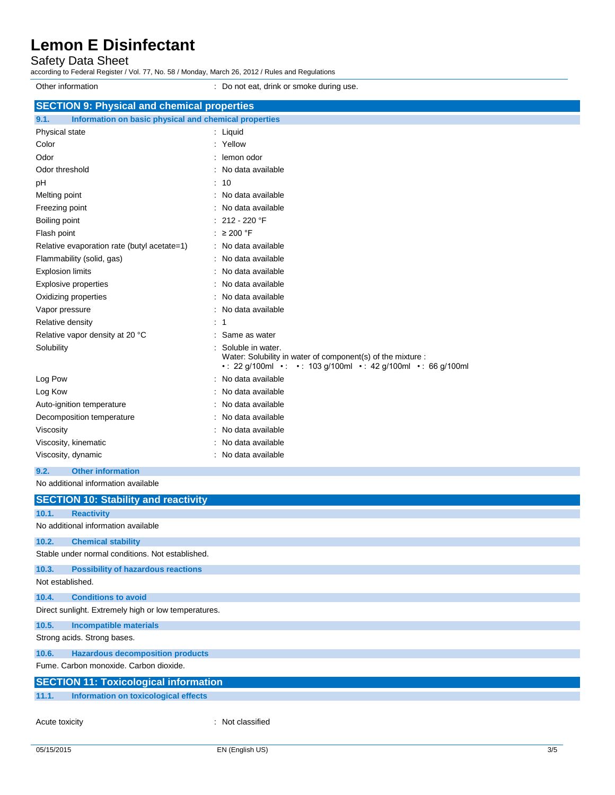Safety Data Sheet

according to Federal Register / Vol. 77, No. 58 / Monday, March 26, 2012 / Rules and Regulations

Other information **Other information** : Do not eat, drink or smoke during use. **SECTION 9: Physical and chemical properties 9.1. Information on basic physical and chemical properties** Physical state : Liquid Color : Yellow Odor : lemon odor : lemon odor Odor threshold **in the state of the state of the state of the state of the state of the state of the state of the state of the state of the state of the state of the state of the state of the state of the state of the stat** pH : 10 Melting point **in the case of the case of the case of the case of the case of the case of the case of the case of the case of the case of the case of the case of the case of the case of the case of the case of the case of** Freezing point **in the case of the Contract Contract Contract Contract Contract Contract Contract Contract Contract Contract Contract Contract Contract Contract Contract Contract Contract Contract Contract Contract Contrac** Boiling point : 212 - 220 °F Flash point : ≥ 200 °F Relative evaporation rate (butyl acetate=1) : No data available Flammability (solid, gas) **in the set of the set of the set of the set of the set of the set of the set of the set of the set of the set of the set of the set of the set of the set of the set of the set of the set of the s** Explosion limits **Explosion** limits **Explosion** limits **Explosion** in the set of  $\mathbb{R}$  and  $\mathbb{R}$  and  $\mathbb{R}$  are set of  $\mathbb{R}$  and  $\mathbb{R}$  are set of  $\mathbb{R}$  and  $\mathbb{R}$  are set of  $\mathbb{R}$  and  $\mathbb{R}$  are set Explosive properties **in the set of the set of the set of the set of the set of the set of the set of the set of the set of the set of the set of the set of the set of the set of the set of the set of the set of the set of** Oxidizing properties **in the contract of the Contract Contract Contract Contract Contract Contract Contract Contract Contract Contract Contract Contract Contract Contract Contract Contract Contract Contract Contract Contra** Vapor pressure in the set of the set of the set of the Vapor pressure in the Vapor pressure Relative density in the set of the set of the set of the set of the set of the set of the set of the set of the set of the set of the set of the set of the set of the set of the set of the set of the set of the set of the Relative vapor density at 20 °C : Same as water Solubility : Soluble in water. Water: Solubility in water of component(s) of the mixture : • : 22 g/100ml • : • : 103 g/100ml • : 42 g/100ml • : 66 g/100ml Log Pow : No data available Log Kow **: No data available** Auto-ignition temperature **interest and the Contract Contract Auto-** : No data available Decomposition temperature : No data available Viscosity : No data available Viscosity, kinematic **intervalse in the Contract of Contract Available** : No data available Viscosity, dynamic **intervalse in the Contract of Contract Available** : No data available **9.2. Other information** No additional information available

|                                        | <b>SECTION 10: Stability and reactivity</b>          |                  |  |
|----------------------------------------|------------------------------------------------------|------------------|--|
| 10.1.                                  | <b>Reactivity</b>                                    |                  |  |
|                                        | No additional information available                  |                  |  |
| 10.2.                                  | <b>Chemical stability</b>                            |                  |  |
|                                        | Stable under normal conditions. Not established.     |                  |  |
| 10.3.                                  | <b>Possibility of hazardous reactions</b>            |                  |  |
| Not established.                       |                                                      |                  |  |
| 10.4.                                  | <b>Conditions to avoid</b>                           |                  |  |
|                                        | Direct sunlight. Extremely high or low temperatures. |                  |  |
| 10.5.                                  | <b>Incompatible materials</b>                        |                  |  |
| Strong acids. Strong bases.            |                                                      |                  |  |
| 10.6.                                  | <b>Hazardous decomposition products</b>              |                  |  |
| Fume, Carbon monoxide, Carbon dioxide. |                                                      |                  |  |
|                                        | <b>SECTION 11: Toxicological information</b>         |                  |  |
| 11.1.                                  | Information on toxicological effects                 |                  |  |
| Acute toxicity                         |                                                      | : Not classified |  |
|                                        |                                                      |                  |  |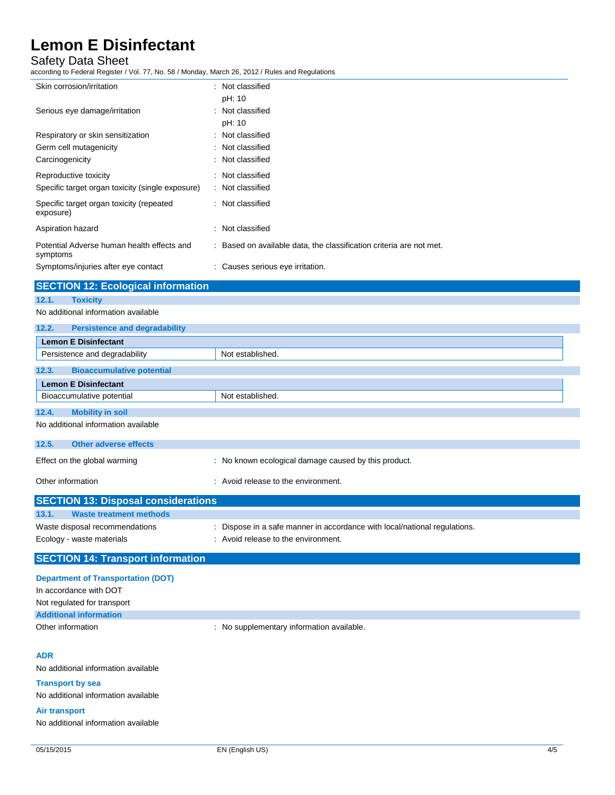## Safety Data Sheet

according to Federal Register / Vol. 77, No. 58 / Monday, March 26, 2012 / Rules and Regulations

| Skin corrosion/irritation                              | : Not classified                                                    |
|--------------------------------------------------------|---------------------------------------------------------------------|
|                                                        | pH: 10                                                              |
| Serious eye damage/irritation                          | : Not classified                                                    |
|                                                        | pH: 10                                                              |
| Respiratory or skin sensitization                      | : Not classified                                                    |
| Germ cell mutagenicity                                 | : Not classified                                                    |
| Carcinogenicity                                        | : Not classified                                                    |
| Reproductive toxicity                                  | : Not classified                                                    |
| Specific target organ toxicity (single exposure)       | : Not classified                                                    |
| Specific target organ toxicity (repeated<br>exposure)  | : Not classified                                                    |
| Aspiration hazard                                      | : Not classified                                                    |
| Potential Adverse human health effects and<br>symptoms | : Based on available data, the classification criteria are not met. |
| Symptoms/injuries after eye contact                    | : Causes serious eye irritation.                                    |

## **SECTION 12: Ecological information 12.1. Toxicity** No additional information available

### **12.2. Persistence and degradability**

| <b>Lemon E Disinfectant</b>               |                                                      |  |
|-------------------------------------------|------------------------------------------------------|--|
| Persistence and degradability             | Not established.                                     |  |
| 12.3.<br><b>Bioaccumulative potential</b> |                                                      |  |
| <b>Lemon E Disinfectant</b>               |                                                      |  |
| Bioaccumulative potential                 | Not established.                                     |  |
|                                           |                                                      |  |
| 12.4.<br><b>Mobility in soil</b>          |                                                      |  |
| No additional information available       |                                                      |  |
| 12.5.<br><b>Other adverse effects</b>     |                                                      |  |
| Effect on the global warming              | : No known ecological damage caused by this product. |  |

| Other information |                                            | : Avoid release to the environment.                                       |
|-------------------|--------------------------------------------|---------------------------------------------------------------------------|
|                   | <b>SECTION 13: Disposal considerations</b> |                                                                           |
| 13.1.             | Waste treatment methods                    |                                                                           |
|                   | Waste disposal recommendations             | : Dispose in a safe manner in accordance with local/national regulations. |
|                   | Ecology - waste materials                  | : Avoid release to the environment.                                       |

## **SECTION 14: Transport information**

| : No supplementary information available. |
|-------------------------------------------|
|                                           |
|                                           |

### **ADR**

No additional information available

### **Transport by sea**

No additional information available

#### **Air transport**

No additional information available